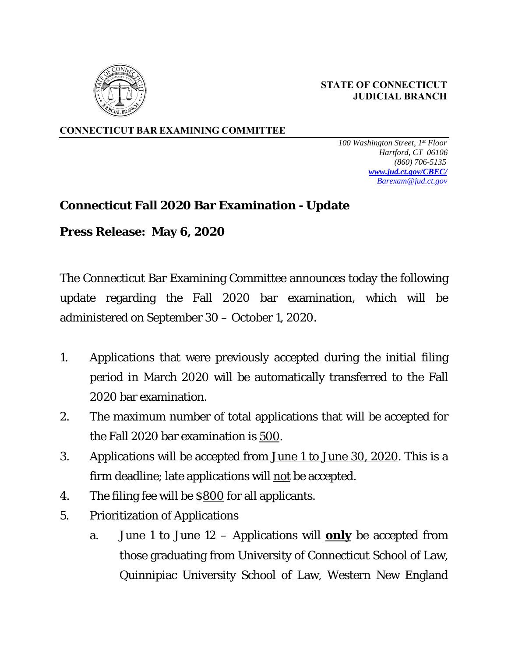

 **STATE OF CONNECTICUT JUDICIAL BRANCH** 

**CONNECTICUT BAR EXAMINING COMMITTEE** 

 *100 Washington Street, 1st Floor Hartford, CT 06106 (860) 706-5135 www.jud.ct.gov/CBEC/ Barexam@jud.ct.gov*

## **Connecticut Fall 2020 Bar Examination - Update**

**Press Release: May 6, 2020** 

The Connecticut Bar Examining Committee announces today the following update regarding the Fall 2020 bar examination, which will be administered on September 30 – October 1, 2020.

- 1. Applications that were previously accepted during the initial filing period in March 2020 will be automatically transferred to the Fall 2020 bar examination.
- 2. The maximum number of total applications that will be accepted for the Fall 2020 bar examination is 500.
- 3. Applications will be accepted from June 1 to June 30, 2020. This is a firm deadline; late applications will not be accepted.
- 4. The filing fee will be \$800 for all applicants.
- 5. Prioritization of Applications
	- a. *June 1 to June 12* Applications will **only** be accepted from those graduating from University of Connecticut School of Law, Quinnipiac University School of Law, Western New England